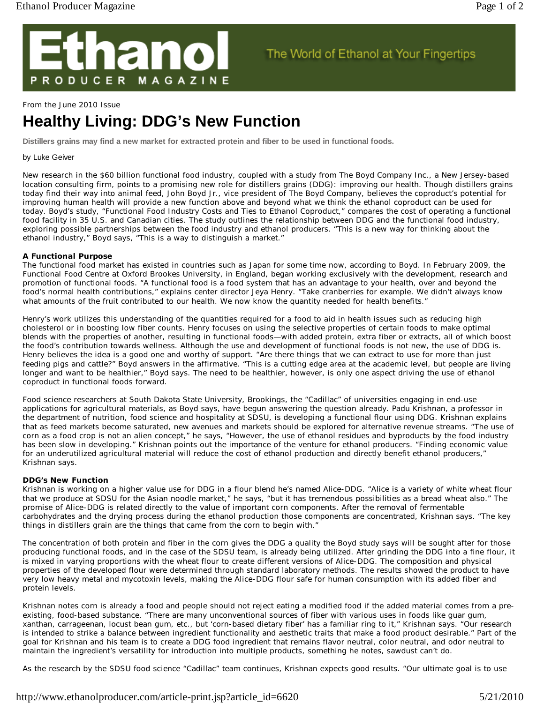

### From the June 2010 Issue

# **Healthy Living: DDG's New Function**

**Distillers grains may find a new market for extracted protein and fiber to be used in functional foods.** 

# by Luke Geiver

New research in the \$60 billion functional food industry, coupled with a study from The Boyd Company Inc., a New Jersey-based location consulting firm, points to a promising new role for distillers grains (DDG): improving our health. Though distillers grains today find their way into animal feed, John Boyd Jr., vice president of The Boyd Company, believes the coproduct's potential for improving human health will provide a new function above and beyond what we think the ethanol coproduct can be used for today. Boyd's study, "Functional Food Industry Costs and Ties to Ethanol Coproduct," compares the cost of operating a functional food facility in 35 U.S. and Canadian cities. The study outlines the relationship between DDG and the functional food industry, exploring possible partnerships between the food industry and ethanol producers. "This is a new way for thinking about the ethanol industry," Boyd says, "This is a way to distinguish a market."

The World of Ethanol at Your Fingertips

# **A Functional Purpose**

The functional food market has existed in countries such as Japan for some time now, according to Boyd. In February 2009, the Functional Food Centre at Oxford Brookes University, in England, began working exclusively with the development, research and promotion of functional foods. "A functional food is a food system that has an advantage to your health, over and beyond the food's normal health contributions," explains center director Jeya Henry. "Take cranberries for example. We didn't always know what amounts of the fruit contributed to our health. We now know the quantity needed for health benefits."

Henry's work utilizes this understanding of the quantities required for a food to aid in health issues such as reducing high cholesterol or in boosting low fiber counts. Henry focuses on using the selective properties of certain foods to make optimal blends with the properties of another, resulting in functional foods—with added protein, extra fiber or extracts, all of which boost the food's contribution towards wellness. Although the use and development of functional foods is not new, the use of DDG is. Henry believes the idea is a good one and worthy of support. "Are there things that we can extract to use for more than just feeding pigs and cattle?" Boyd answers in the affirmative. "This is a cutting edge area at the academic level, but people are living longer and want to be healthier," Boyd says. The need to be healthier, however, is only one aspect driving the use of ethanol coproduct in functional foods forward.

Food science researchers at South Dakota State University, Brookings, the "Cadillac" of universities engaging in end-use applications for agricultural materials, as Boyd says, have begun answering the question already. Padu Krishnan, a professor in the department of nutrition, food science and hospitality at SDSU, is developing a functional flour using DDG. Krishnan explains that as feed markets become saturated, new avenues and markets should be explored for alternative revenue streams. "The use of corn as a food crop is not an alien concept," he says, "However, the use of ethanol residues and byproducts by the food industry has been slow in developing." Krishnan points out the importance of the venture for ethanol producers. "Finding economic value for an underutilized agricultural material will reduce the cost of ethanol production and directly benefit ethanol producers," Krishnan says.

### **DDG's New Function**

Krishnan is working on a higher value use for DDG in a flour blend he's named Alice-DDG. "Alice is a variety of white wheat flour that we produce at SDSU for the Asian noodle market," he says, "but it has tremendous possibilities as a bread wheat also." The promise of Alice-DDG is related directly to the value of important corn components. After the removal of fermentable carbohydrates and the drying process during the ethanol production those components are concentrated, Krishnan says. "The key things in distillers grain are the things that came from the corn to begin with."

The concentration of both protein and fiber in the corn gives the DDG a quality the Boyd study says will be sought after for those producing functional foods, and in the case of the SDSU team, is already being utilized. After grinding the DDG into a fine flour, it is mixed in varying proportions with the wheat flour to create different versions of Alice-DDG. The composition and physical properties of the developed flour were determined through standard laboratory methods. The results showed the product to have very low heavy metal and mycotoxin levels, making the Alice-DDG flour safe for human consumption with its added fiber and protein levels.

Krishnan notes corn is already a food and people should not reject eating a modified food if the added material comes from a preexisting, food-based substance. "There are many unconventional sources of fiber with various uses in foods like guar gum, xanthan, carrageenan, locust bean gum, etc., but 'corn-based dietary fiber' has a familiar ring to it," Krishnan says. "Our research is intended to strike a balance between ingredient functionality and aesthetic traits that make a food product desirable." Part of the goal for Krishnan and his team is to create a DDG food ingredient that remains flavor neutral, color neutral, and odor neutral to maintain the ingredient's versatility for introduction into multiple products, something he notes, sawdust can't do.

As the research by the SDSU food science "Cadillac" team continues, Krishnan expects good results. "Our ultimate goal is to use